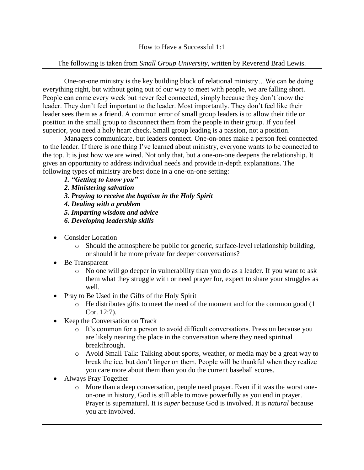## The following is taken from *Small Group University*, written by Reverend Brad Lewis.

One-on-one ministry is the key building block of relational ministry…We can be doing everything right, but without going out of our way to meet with people, we are falling short. People can come every week but never feel connected, simply because they don't know the leader. They don't feel important to the leader. Most importantly. They don't feel like their leader sees them as a friend. A common error of small group leaders is to allow their title or position in the small group to disconnect them from the people in their group. If you feel superior, you need a holy heart check. Small group leading is a passion, not a position.

Managers communicate, but leaders connect. One-on-ones make a person feel connected to the leader. If there is one thing I've learned about ministry, everyone wants to be connected to the top. It is just how we are wired. Not only that, but a one-on-one deepens the relationship. It gives an opportunity to address individual needs and provide in-depth explanations. The following types of ministry are best done in a one-on-one setting:

- *1. "Getting to know you"*
- *2. Ministering salvation*
- *3. Praying to receive the baptism in the Holy Spirit*
- *4. Dealing with a problem*
- *5. Imparting wisdom and advice*
- *6. Developing leadership skills*
- Consider Location
	- o Should the atmosphere be public for generic, surface-level relationship building, or should it be more private for deeper conversations?
- Be Transparent
	- o No one will go deeper in vulnerability than you do as a leader. If you want to ask them what they struggle with or need prayer for, expect to share your struggles as well.
- Pray to Be Used in the Gifts of the Holy Spirit
	- o He distributes gifts to meet the need of the moment and for the common good (1 Cor. 12:7).
- Keep the Conversation on Track
	- o It's common for a person to avoid difficult conversations. Press on because you are likely nearing the place in the conversation where they need spiritual breakthrough.
	- o Avoid Small Talk: Talking about sports, weather, or media may be a great way to break the ice, but don't linger on them. People will be thankful when they realize you care more about them than you do the current baseball scores.
- Always Pray Together
	- o More than a deep conversation, people need prayer. Even if it was the worst oneon-one in history, God is still able to move powerfully as you end in prayer. Prayer is supernatural. It is *super* because God is involved. It is *natural* because you are involved.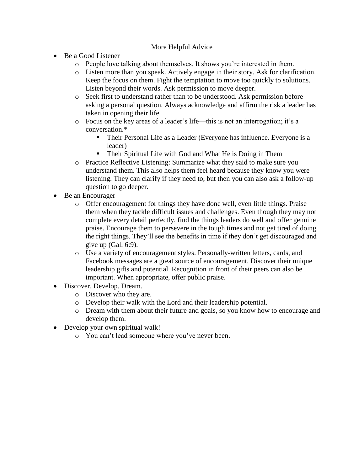# More Helpful Advice

- Be a Good Listener
	- o People love talking about themselves. It shows you're interested in them.
	- o Listen more than you speak. Actively engage in their story. Ask for clarification. Keep the focus on them. Fight the temptation to move too quickly to solutions. Listen beyond their words. Ask permission to move deeper.
	- o Seek first to understand rather than to be understood. Ask permission before asking a personal question. Always acknowledge and affirm the risk a leader has taken in opening their life.
	- o Focus on the key areas of a leader's life—this is not an interrogation; it's a conversation.\*
		- Their Personal Life as a Leader (Everyone has influence. Everyone is a leader)
		- Their Spiritual Life with God and What He is Doing in Them
	- o Practice Reflective Listening: Summarize what they said to make sure you understand them. This also helps them feel heard because they know you were listening. They can clarify if they need to, but then you can also ask a follow-up question to go deeper.
- Be an Encourager
	- o Offer encouragement for things they have done well, even little things. Praise them when they tackle difficult issues and challenges. Even though they may not complete every detail perfectly, find the things leaders do well and offer genuine praise. Encourage them to persevere in the tough times and not get tired of doing the right things. They'll see the benefits in time if they don't get discouraged and give up (Gal. 6:9).
	- o Use a variety of encouragement styles. Personally-written letters, cards, and Facebook messages are a great source of encouragement. Discover their unique leadership gifts and potential. Recognition in front of their peers can also be important. When appropriate, offer public praise.
- Discover. Develop. Dream.
	- o Discover who they are.
	- o Develop their walk with the Lord and their leadership potential.
	- o Dream with them about their future and goals, so you know how to encourage and develop them.
- Develop your own spiritual walk!
	- o You can't lead someone where you've never been.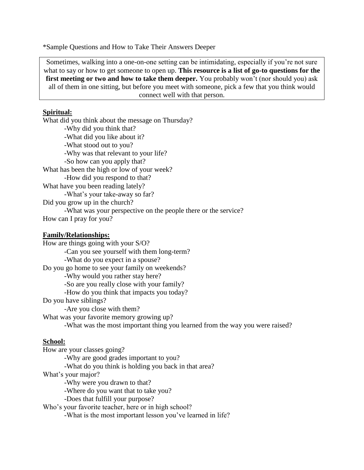\*Sample Questions and How to Take Their Answers Deeper

Sometimes, walking into a one-on-one setting can be intimidating, especially if you're not sure what to say or how to get someone to open up. **This resource is a list of go-to questions for the first meeting or two and how to take them deeper.** You probably won't (nor should you) ask all of them in one sitting, but before you meet with someone, pick a few that you think would connect well with that person.

## **Spiritual:**

What did you think about the message on Thursday? -Why did you think that? -What did you like about it? -What stood out to you? -Why was that relevant to your life? -So how can you apply that? What has been the high or low of your week? -How did you respond to that? What have you been reading lately? -What's your take-away so far? Did you grow up in the church? -What was your perspective on the people there or the service? How can I pray for you?

#### **Family/Relationships:**

How are things going with your S/O? -Can you see yourself with them long-term? -What do you expect in a spouse? Do you go home to see your family on weekends? -Why would you rather stay here? -So are you really close with your family? -How do you think that impacts you today? Do you have siblings? -Are you close with them? What was your favorite memory growing up? -What was the most important thing you learned from the way you were raised?

### **School:**

How are your classes going? -Why are good grades important to you? -What do you think is holding you back in that area? What's your major? -Why were you drawn to that? -Where do you want that to take you? -Does that fulfill your purpose? Who's your favorite teacher, here or in high school? -What is the most important lesson you've learned in life?